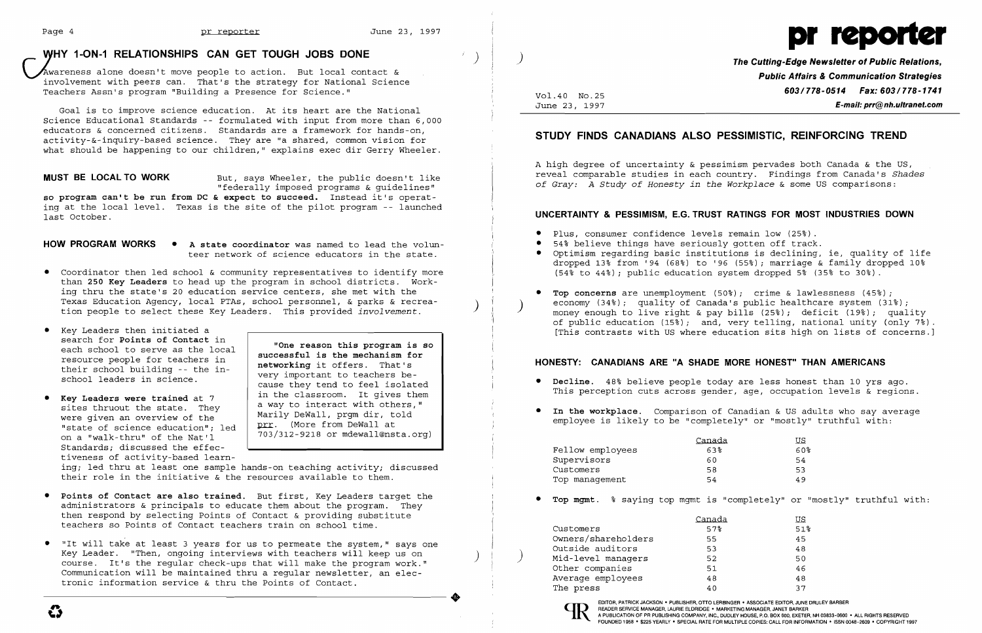# **right of the CAN CET TOUGH JOBS DONE** *CAN GET TOUGH JOBS DONE The Cutting-Edge Newsletter of Public Relations,* **<b>***The Cutting-Edge Newsletter of Public Relations,*



~wareness alone doesn't move people to action. But local contact & involvement with peers can. That's the strategy for National Science Teachers Assn's program "Building a Presence for Science."

so program can't be run from DC & expect to succeed. Instead it's operat ing at the local level. Texas is the site of the pilot program -- launched last October.

Goal is to improve science education. At its heart are the National Science Educational Standards -- formulated with input from more than 6,000 educators & concerned citizens. Standards are a framework for hands-on, activity-&-inquiry-based science. They are "a shared, common vision for what should be happening to our children," explains exec dir Gerry Wheeler.

**MUST BE LOCAL TO WORK** But, says Wheeler, the public doesn't like "federally imposed programs & guidelines"

ing; led thru at least one sample hands-on teaching activity; discussed their role in the initiative  $\&$  the resources available to them.

- **• Points of Contact are also trained.** But first, Key Leaders target the administrators & principals to educate them about the program. They then respond by selecting Points of Contact & providing substitute teachers so Points of Contact teachers train on school time.
- • "It will take at least 3 years for us to permeate the system," says one Outside auditors 53 48 Key Leader. "Then, ongoing interviews with teachers will keep us on ) ) Mid-level managers 52 50 course. It's the regular check-ups that will make the program work."<br>
Communication will be maintained thru a regular newsletter, an elec-<br>
tronic information service & thru the Points of Contact.<br>
37<br>
37

- **HOW PROGRAM WORKS**  • **A state coordinator** was named to lead the volunteer network of science educators in the state.
- • Coordinator then led school & community representatives to identify more than **250 Key Leaders** to head up the program in school districts. Working thru the state's 20 education service centers, she met with the Texas Education Agency, local PTAs, school personnel, & parks & recrea-<br>tion people to select these Key Leaders. This provided *involvement*.
- • Key Leaders then initiated a search for **Points of Contact** in each school to serve as the local resource people for teachers in their school building -- the inschool leaders in science.
- • **Key Leaders were trained** at 7 sites thruout the state. They were given an overview of the "state of science education"; led on a "walk-thru" of the Nat'l Standards; discussed the effectiveness of activity-based learn
- **• Decline.** 48~ believe people today are less honest than 10 yrs ago.
- employee is likely to be "completely" or "mostly" truthful with:

**"One reason this program is so successful is the mechanism for networking** it offers. That's very important to teachers because they tend to feel isolated in the classroom. It gives them a way to interact with others," Marily DeWall, prgm dir, told prr. (More from DeWall at 703/312-9218 or mdewall@nsta.org)

# **Public Affairs & Communication Strategies Vol.40 No.25 603/778-0514 Fax: 603/778-1741**<br>June 23, 1997 **F-mail: prr@nh.ultranet.com** June 23, 1997 **E-mail: prr@nh.ultranet.com**

Optimism regarding basic institutions is declining, ie, quality of life dropped 13% from '94 (68%) to '96 (55%); marriage & family dropped 10%

**Top concerns** are unemployment  $(50<sup>°</sup>)$ ; crime & lawlessness  $(45<sup>°</sup>)$ ; of public education (15%); and, very telling, national unity (only 7%) If pusite calculation (1997), and, very certing, nacronal antly (only 70).<br>[This contrasts with US where education sits high on lists of concerns.] money enough to live right & pay bills  $(25%)$ ; deficit  $(19%)$ ; quality

# **STUDY FINDS CANADIANS ALSO PESSIMISTIC, REINFORCING TREND**

A high degree of uncertainty & pessimism pervades both Canada & the US, reveal comparable studies in each country. Findings from Canada's *Shades of Gray: A Study of Honesty in the Workplace* & some US comparisons:

## **UNCERTAINTY & PESSIMISM, E.G. TRUST RATINGS FOR MOST INDUSTRIES DOWN**

- Plus, consumer confidence levels remain low (25%).
- 54% believe things have seriously gotten off track.
- $(54%$  to  $44%$ ); public education system dropped 5%  $(35%$  to 30%).
- economy (34%); quality of Canada's public healthcare system (31%);<br>money enough to live right & pay bills (25%); deficit (19%); qual

## **HONESTY: CANADIANS ARE "A SHADE MORE HONEST" THAN AMERICANS**

This perception cuts across gender, age, occupation levels & regions.

**• In the workplace.** Comparison of Canadian & US adults who say average

|                  | Canada |
|------------------|--------|
| Fellow employees | 638    |
| Supervisors      | 60     |
| Customers        | 58     |
| Top management   | 54     |

lIS. 60~ 54 53 49

**•** Top mgmt. % saying top mgmt is "completely" or "mostly" truthful with:

lIS. 51~

|                     | Canada | US. |
|---------------------|--------|-----|
| Customers           | 57%    | 51  |
| Owners/shareholders | 55.    | 45  |
| Outside auditors    | 53     | 48  |
| Mid-level managers  | 52     | 50  |
| Other companies     | 51     | 46  |
| Average employees   | 48     | 48  |
| The press           | 40     | 37  |
|                     |        |     |



..

EDITOR. PATRICK JACKSON' PUBLISHER, OTTO LERBINGER • ASSOCIATE EDITOR, JUNE DRULEY BARBER READER SERVICE MANAGER, LAURIE ELDRIDGE • MARKETING MANAGER, JANET BARKER<br>A PUBLICATION OF PR PUBLISHING COMPANY, INC., DUDLEY HOUSE, P.O. BOX 600, EXETER, NH 03833-0600 • ALL RIGHTS RESERVED FOUNDED 1958 • \$225 YEARLY' SPECIAL RATE FOR MULTIPLE COPIES: CALL FOR INFORMATION' ISSN 0048-2609 • COPYRIGHT 1997